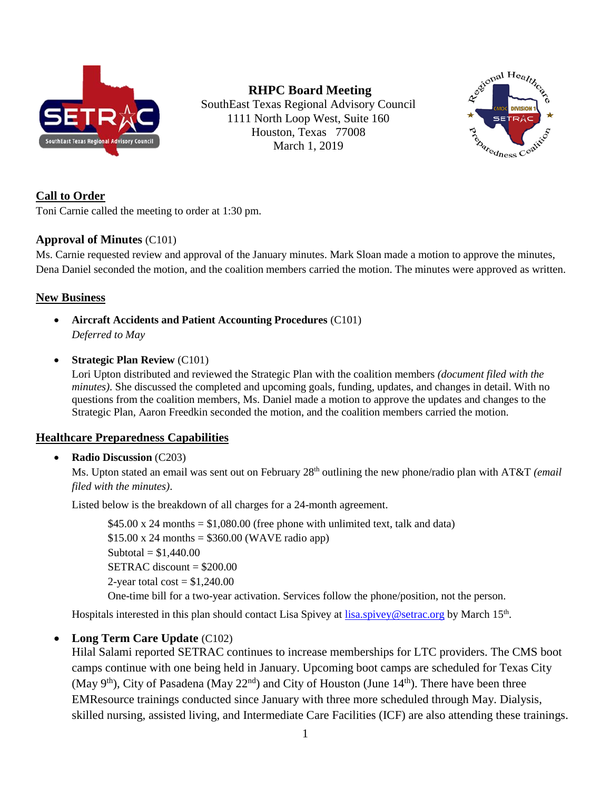

**RHPC Board Meeting** SouthEast Texas Regional Advisory Council 1111 North Loop West, Suite 160 Houston, Texas 77008 March 1, 2019



# **Call to Order**

Toni Carnie called the meeting to order at 1:30 pm.

# **Approval of Minutes** (C101)

Ms. Carnie requested review and approval of the January minutes. Mark Sloan made a motion to approve the minutes, Dena Daniel seconded the motion, and the coalition members carried the motion. The minutes were approved as written.

# **New Business**

- **Aircraft Accidents and Patient Accounting Procedures** (C101) *Deferred to May*
- **Strategic Plan Review** (C101)

Lori Upton distributed and reviewed the Strategic Plan with the coalition members *(document filed with the minutes*). She discussed the completed and upcoming goals, funding, updates, and changes in detail. With no questions from the coalition members, Ms. Daniel made a motion to approve the updates and changes to the Strategic Plan, Aaron Freedkin seconded the motion, and the coalition members carried the motion.

# **Healthcare Preparedness Capabilities**

# • **Radio Discussion** (C203)

Ms. Upton stated an email was sent out on February 28<sup>th</sup> outlining the new phone/radio plan with AT&T *(email*) *filed with the minutes)*.

Listed below is the breakdown of all charges for a 24-month agreement.

 $$45.00 \times 24$  months = \$1,080.00 (free phone with unlimited text, talk and data)  $$15.00 \times 24$  months =  $$360.00$  (WAVE radio app) Subtotal =  $$1,440.00$  $SETRAC discount = $200.00$ 2-year total cost  $= $1,240.00$ 

One-time bill for a two-year activation. Services follow the phone/position, not the person.

Hospitals interested in this plan should contact Lisa Spivey at [lisa.spivey@setrac.org](mailto:lisa.spivey@setrac.org) by March 15<sup>th</sup>.

# • **Long Term Care Update** (C102)

Hilal Salami reported SETRAC continues to increase memberships for LTC providers. The CMS boot camps continue with one being held in January. Upcoming boot camps are scheduled for Texas City (May 9<sup>th</sup>), City of Pasadena (May 22<sup>nd</sup>) and City of Houston (June 14<sup>th</sup>). There have been three EMResource trainings conducted since January with three more scheduled through May. Dialysis, skilled nursing, assisted living, and Intermediate Care Facilities (ICF) are also attending these trainings.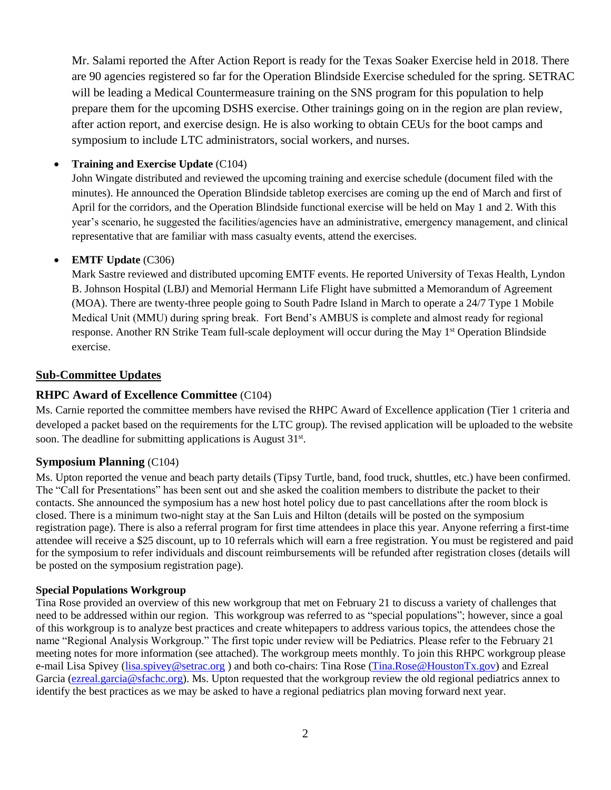Mr. Salami reported the After Action Report is ready for the Texas Soaker Exercise held in 2018. There are 90 agencies registered so far for the Operation Blindside Exercise scheduled for the spring. SETRAC will be leading a Medical Countermeasure training on the SNS program for this population to help prepare them for the upcoming DSHS exercise. Other trainings going on in the region are plan review, after action report, and exercise design. He is also working to obtain CEUs for the boot camps and symposium to include LTC administrators, social workers, and nurses.

## • **Training and Exercise Update** (C104)

John Wingate distributed and reviewed the upcoming training and exercise schedule (document filed with the minutes). He announced the Operation Blindside tabletop exercises are coming up the end of March and first of April for the corridors, and the Operation Blindside functional exercise will be held on May 1 and 2. With this year's scenario, he suggested the facilities/agencies have an administrative, emergency management, and clinical representative that are familiar with mass casualty events, attend the exercises.

#### • **EMTF Update** (C306)

Mark Sastre reviewed and distributed upcoming EMTF events. He reported University of Texas Health, Lyndon B. Johnson Hospital (LBJ) and Memorial Hermann Life Flight have submitted a Memorandum of Agreement (MOA). There are twenty-three people going to South Padre Island in March to operate a 24/7 Type 1 Mobile Medical Unit (MMU) during spring break. Fort Bend's AMBUS is complete and almost ready for regional response. Another RN Strike Team full-scale deployment will occur during the May 1<sup>st</sup> Operation Blindside exercise.

## **Sub-Committee Updates**

## **RHPC Award of Excellence Committee** (C104)

Ms. Carnie reported the committee members have revised the RHPC Award of Excellence application (Tier 1 criteria and developed a packet based on the requirements for the LTC group). The revised application will be uploaded to the website soon. The deadline for submitting applications is August  $31<sup>st</sup>$ .

#### **Symposium Planning** (C104)

Ms. Upton reported the venue and beach party details (Tipsy Turtle, band, food truck, shuttles, etc.) have been confirmed. The "Call for Presentations" has been sent out and she asked the coalition members to distribute the packet to their contacts. She announced the symposium has a new host hotel policy due to past cancellations after the room block is closed. There is a minimum two-night stay at the San Luis and Hilton (details will be posted on the symposium registration page). There is also a referral program for first time attendees in place this year. Anyone referring a first-time attendee will receive a \$25 discount, up to 10 referrals which will earn a free registration. You must be registered and paid for the symposium to refer individuals and discount reimbursements will be refunded after registration closes (details will be posted on the symposium registration page).

#### **Special Populations Workgroup**

Tina Rose provided an overview of this new workgroup that met on February 21 to discuss a variety of challenges that need to be addressed within our region. This workgroup was referred to as "special populations"; however, since a goal of this workgroup is to analyze best practices and create whitepapers to address various topics, the attendees chose the name "Regional Analysis Workgroup." The first topic under review will be Pediatrics. Please refer to the February 21 meeting notes for more information (see attached). The workgroup meets monthly. To join this RHPC workgroup please e-mail Lisa Spivey [\(lisa.spivey@setrac.org](mailto:lisa.spivey@setrac.org) ) and both co-chairs: Tina Rose [\(Tina.Rose@HoustonTx.gov\)](mailto:Tina.Rose@HoustonTx.gov) and Ezreal Garcia [\(ezreal.garcia@sfachc.org\)](mailto:ezreal.garcia@sfachc.org). Ms. Upton requested that the workgroup review the old regional pediatrics annex to identify the best practices as we may be asked to have a regional pediatrics plan moving forward next year.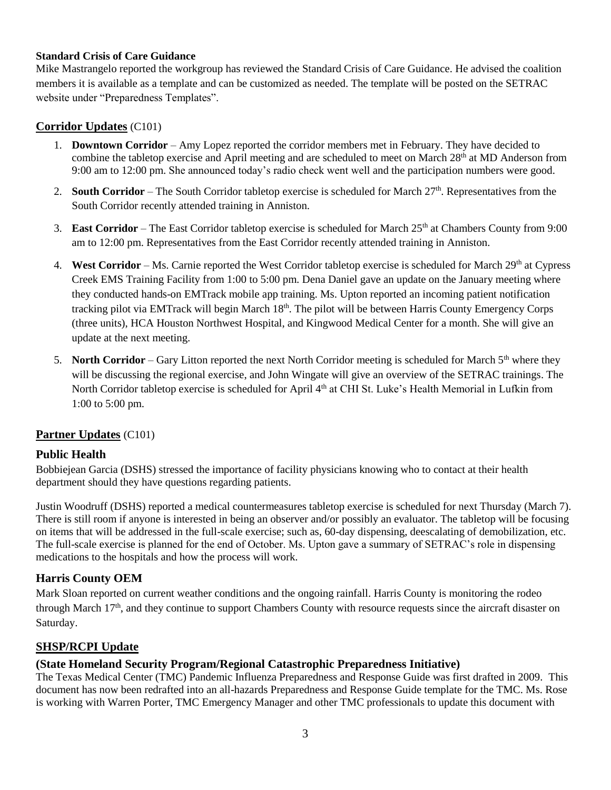#### **Standard Crisis of Care Guidance**

Mike Mastrangelo reported the workgroup has reviewed the Standard Crisis of Care Guidance. He advised the coalition members it is available as a template and can be customized as needed. The template will be posted on the SETRAC website under "Preparedness Templates".

# **Corridor Updates** (C101)

- 1. **Downtown Corridor** Amy Lopez reported the corridor members met in February. They have decided to combine the tabletop exercise and April meeting and are scheduled to meet on March 28<sup>th</sup> at MD Anderson from 9:00 am to 12:00 pm. She announced today's radio check went well and the participation numbers were good.
- 2. **South Corridor** The South Corridor tabletop exercise is scheduled for March 27<sup>th</sup>. Representatives from the South Corridor recently attended training in Anniston.
- 3. **East Corridor** The East Corridor tabletop exercise is scheduled for March 25th at Chambers County from 9:00 am to 12:00 pm. Representatives from the East Corridor recently attended training in Anniston.
- 4. **West Corridor** Ms. Carnie reported the West Corridor tabletop exercise is scheduled for March  $29<sup>th</sup>$  at Cypress Creek EMS Training Facility from 1:00 to 5:00 pm. Dena Daniel gave an update on the January meeting where they conducted hands-on EMTrack mobile app training. Ms. Upton reported an incoming patient notification tracking pilot via EMTrack will begin March 18<sup>th</sup>. The pilot will be between Harris County Emergency Corps (three units), HCA Houston Northwest Hospital, and Kingwood Medical Center for a month. She will give an update at the next meeting.
- 5. **North Corridor** Gary Litton reported the next North Corridor meeting is scheduled for March 5<sup>th</sup> where they will be discussing the regional exercise, and John Wingate will give an overview of the SETRAC trainings. The North Corridor tabletop exercise is scheduled for April 4<sup>th</sup> at CHI St. Luke's Health Memorial in Lufkin from 1:00 to 5:00 pm.

#### **Partner Updates** (C101)

#### **Public Health**

Bobbiejean Garcia (DSHS) stressed the importance of facility physicians knowing who to contact at their health department should they have questions regarding patients.

Justin Woodruff (DSHS) reported a medical countermeasures tabletop exercise is scheduled for next Thursday (March 7). There is still room if anyone is interested in being an observer and/or possibly an evaluator. The tabletop will be focusing on items that will be addressed in the full-scale exercise; such as, 60-day dispensing, deescalating of demobilization, etc. The full-scale exercise is planned for the end of October. Ms. Upton gave a summary of SETRAC's role in dispensing medications to the hospitals and how the process will work.

# **Harris County OEM**

Mark Sloan reported on current weather conditions and the ongoing rainfall. Harris County is monitoring the rodeo through March  $17<sup>th</sup>$ , and they continue to support Chambers County with resource requests since the aircraft disaster on Saturday.

#### **SHSP/RCPI Update**

#### **(State Homeland Security Program/Regional Catastrophic Preparedness Initiative)**

The Texas Medical Center (TMC) Pandemic Influenza Preparedness and Response Guide was first drafted in 2009. This document has now been redrafted into an all-hazards Preparedness and Response Guide template for the TMC. Ms. Rose is working with Warren Porter, TMC Emergency Manager and other TMC professionals to update this document with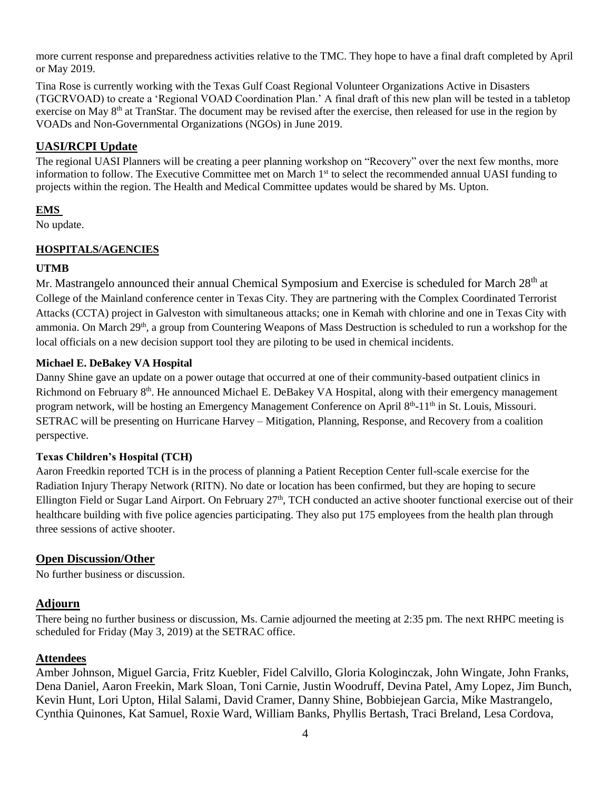more current response and preparedness activities relative to the TMC. They hope to have a final draft completed by April or May 2019.

Tina Rose is currently working with the Texas Gulf Coast Regional Volunteer Organizations Active in Disasters (TGCRVOAD) to create a 'Regional VOAD Coordination Plan.' A final draft of this new plan will be tested in a tabletop exercise on May 8<sup>th</sup> at TranStar. The document may be revised after the exercise, then released for use in the region by VOADs and Non-Governmental Organizations (NGOs) in June 2019.

### **UASI/RCPI Update**

The regional UASI Planners will be creating a peer planning workshop on "Recovery" over the next few months, more information to follow. The Executive Committee met on March 1<sup>st</sup> to select the recommended annual UASI funding to projects within the region. The Health and Medical Committee updates would be shared by Ms. Upton.

#### **EMS**

No update.

## **HOSPITALS/AGENCIES**

#### **UTMB**

Mr. Mastrangelo announced their annual Chemical Symposium and Exercise is scheduled for March 28<sup>th</sup> at College of the Mainland conference center in Texas City. They are partnering with the Complex Coordinated Terrorist Attacks (CCTA) project in Galveston with simultaneous attacks; one in Kemah with chlorine and one in Texas City with ammonia. On March 29<sup>th</sup>, a group from Countering Weapons of Mass Destruction is scheduled to run a workshop for the local officials on a new decision support tool they are piloting to be used in chemical incidents.

#### **Michael E. DeBakey VA Hospital**

Danny Shine gave an update on a power outage that occurred at one of their community-based outpatient clinics in Richmond on February 8<sup>th</sup>. He announced Michael E. DeBakey VA Hospital, along with their emergency management program network, will be hosting an Emergency Management Conference on April 8<sup>th</sup>-11<sup>th</sup> in St. Louis, Missouri. SETRAC will be presenting on Hurricane Harvey – Mitigation, Planning, Response, and Recovery from a coalition perspective.

#### **Texas Children's Hospital (TCH)**

Aaron Freedkin reported TCH is in the process of planning a Patient Reception Center full-scale exercise for the Radiation Injury Therapy Network (RITN). No date or location has been confirmed, but they are hoping to secure Ellington Field or Sugar Land Airport. On February  $27<sup>th</sup>$ , TCH conducted an active shooter functional exercise out of their healthcare building with five police agencies participating. They also put 175 employees from the health plan through three sessions of active shooter.

#### **Open Discussion/Other**

No further business or discussion.

#### **Adjourn**

There being no further business or discussion, Ms. Carnie adjourned the meeting at 2:35 pm. The next RHPC meeting is scheduled for Friday (May 3, 2019) at the SETRAC office.

#### **Attendees**

Amber Johnson, Miguel Garcia, Fritz Kuebler, Fidel Calvillo, Gloria Kologinczak, John Wingate, John Franks, Dena Daniel, Aaron Freekin, Mark Sloan, Toni Carnie, Justin Woodruff, Devina Patel, Amy Lopez, Jim Bunch, Kevin Hunt, Lori Upton, Hilal Salami, David Cramer, Danny Shine, Bobbiejean Garcia, Mike Mastrangelo, Cynthia Quinones, Kat Samuel, Roxie Ward, William Banks, Phyllis Bertash, Traci Breland, Lesa Cordova,